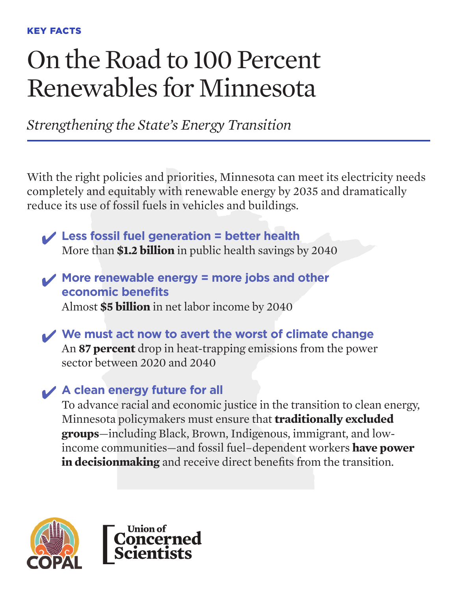# On the Road to 100 Percent Renewables for Minnesota

*Strengthening the State's Energy Transition*

With the right policies and priorities, Minnesota can meet its electricity needs completely and equitably with renewable energy by 2035 and dramatically reduce its use of fossil fuels in vehicles and buildings.

✔ **Less fossil fuel generation = better health** More than **\$1.2 billion** in public health savings by 2040

✔ **More renewable energy = more jobs and other economic benefits** Almost **\$5 billion** in net labor income by 2040

✔ **We must act now to avert the worst of climate change** An **87 percent** drop in heat-trapping emissions from the power sector between 2020 and 2040

# ✔ **A clean energy future for all**

To advance racial and economic justice in the transition to clean energy, Minnesota policymakers must ensure that **traditionally excluded groups**—including Black, Brown, Indigenous, immigrant, and lowincome communities—and fossil fuel–dependent workers **have power in decisionmaking** and receive direct benefits from the transition.



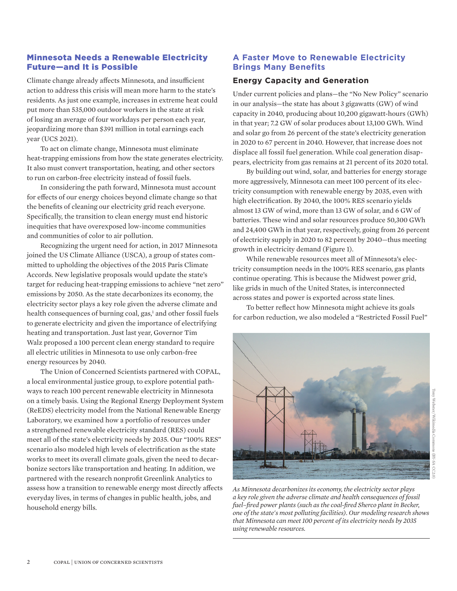### Minnesota Needs a Renewable Electricity Future—and It is Possible

Climate change already affects Minnesota, and insufficient action to address this crisis will mean more harm to the state's residents. As just one example, increases in extreme heat could put more than 535,000 outdoor workers in the state at risk of losing an average of four workdays per person each year, jeopardizing more than \$391 million in total earnings each year (UCS 2021).

To act on climate change, Minnesota must eliminate heat-trapping emissions from how the state generates electricity. It also must convert transportation, heating, and other sectors to run on carbon-free electricity instead of fossil fuels.

In considering the path forward, Minnesota must account for effects of our energy choices beyond climate change so that the benefits of cleaning our electricity grid reach everyone. Specifically, the transition to clean energy must end historic inequities that have overexposed low-income communities and communities of color to air pollution.

Recognizing the urgent need for action, in 2017 Minnesota joined the US Climate Alliance (USCA), a group of states committed to upholding the objectives of the 2015 Paris Climate Accords. New legislative proposals would update the state's target for reducing heat-trapping emissions to achieve "net zero" emissions by 2050. As the state decarbonizes its economy, the electricity sector plays a key role given the adverse climate and health consequences of burning coal, gas,<sup>1</sup> and other fossil fuels to generate electricity and given the importance of electrifying heating and transportation. Just last year, Governor Tim Walz proposed a 100 percent clean energy standard to require all electric utilities in Minnesota to use only carbon-free energy resources by 2040.

The Union of Concerned Scientists partnered with COPAL, a local environmental justice group, to explore potential pathways to reach 100 percent renewable electricity in Minnesota on a timely basis. Using the Regional Energy Deployment System (ReEDS) electricity model from the National Renewable Energy Laboratory, we examined how a portfolio of resources under a strengthened renewable electricity standard (RES) could meet all of the state's electricity needs by 2035. Our "100% RES" scenario also modeled high levels of electrification as the state works to meet its overall climate goals, given the need to decarbonize sectors like transportation and heating. In addition, we partnered with the research nonprofit Greenlink Analytics to assess how a transition to renewable energy most directly affects everyday lives, in terms of changes in public health, jobs, and household energy bills.

## **A Faster Move to Renewable Electricity Brings Many Benefits**

#### **Energy Capacity and Generation**

Under current policies and plans—the "No New Policy" scenario in our analysis—the state has about 3 gigawatts (GW) of wind capacity in 2040, producing about 10,200 gigawatt-hours (GWh) in that year; 7.2 GW of solar produces about 13,100 GWh. Wind and solar go from 26 percent of the state's electricity generation in 2020 to 67 percent in 2040. However, that increase does not displace all fossil fuel generation. While coal generation disappears, electricity from gas remains at 21 percent of its 2020 total.

By building out wind, solar, and batteries for energy storage more aggressively, Minnesota can meet 100 percent of its electricity consumption with renewable energy by 2035, even with high electrification. By 2040, the 100% RES scenario yields almost 13 GW of wind, more than 13 GW of solar, and 6 GW of batteries. These wind and solar resources produce 50,300 GWh and 24,400 GWh in that year, respectively, going from 26 percent of electricity supply in 2020 to 82 percent by 2040—thus meeting growth in electricity demand (Figure 1).

While renewable resources meet all of Minnesota's electricity consumption needs in the 100% RES scenario, gas plants continue operating. This is because the Midwest power grid, like grids in much of the United States, is interconnected across states and power is exported across state lines.

To better reflect how Minnesota might achieve its goals for carbon reduction, we also modeled a "Restricted Fossil Fuel"



*As Minnesota decarbonizes its economy, the electricity sector plays a key role given the adverse climate and health consequences of fossil fuel–fired power plants (such as the coal-fired Sherco plant in Becker, one of the state's most polluting facilities). Our modeling research shows that Minnesota can meet 100 percent of its electricity needs by 2035 using renewable resources.*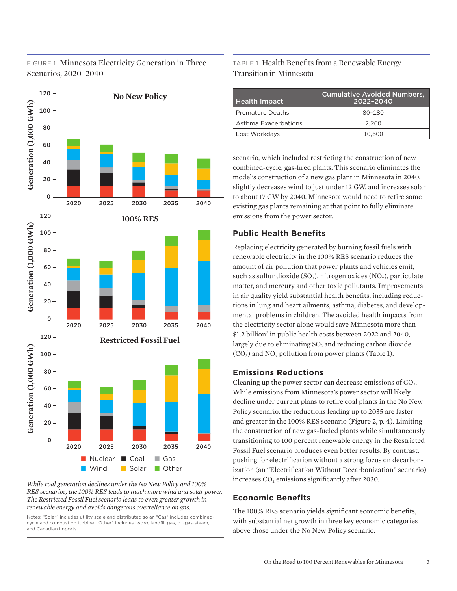# FIGURE 1. Minnesota Electricity Generation in Three Scenarios, 2020–2040



*While coal generation declines under the No New Policy and 100% RES scenarios, the 100% RES leads to much more wind and solar power. The Restricted Fossil Fuel scenario leads to even greater growth in renewable energy and avoids dangerous overreliance on gas.*

Notes: "Solar" includes utility scale and distributed solar. "Gas" includes combinedcycle and combustion turbine. "Other" includes hydro, landfill gas, oil-gas-steam, and Canadian imports.

# TABLE 1. Health Benefits from a Renewable Energy Transition in Minnesota

| <b>Health Impact</b>    | <b>Cumulative Avoided Numbers,</b><br>2022-2040 |
|-------------------------|-------------------------------------------------|
| <b>Premature Deaths</b> | 80-180                                          |
| Asthma Exacerbations    | 2.260                                           |
| Lost Workdays           | 10,600                                          |

scenario, which included restricting the construction of new combined-cycle, gas-fired plants. This scenario eliminates the model's construction of a new gas plant in Minnesota in 2040, slightly decreases wind to just under 12 GW, and increases solar to about 17 GW by 2040. Minnesota would need to retire some existing gas plants remaining at that point to fully eliminate emissions from the power sector.

### **Public Health Benefits**

Replacing electricity generated by burning fossil fuels with renewable electricity in the 100% RES scenario reduces the amount of air pollution that power plants and vehicles emit, such as sulfur dioxide  $(SO_2)$ , nitrogen oxides  $(NO_x)$ , particulate matter, and mercury and other toxic pollutants. Improvements in air quality yield substantial health benefits, including reductions in lung and heart ailments, asthma, diabetes, and developmental problems in children. The avoided health impacts from the electricity sector alone would save Minnesota more than \$1.2 billion<sup>2</sup> in public health costs between 2022 and 2040, largely due to eliminating  $SO<sub>2</sub>$  and reducing carbon dioxide  $(CO<sub>2</sub>)$  and NO<sub>x</sub> pollution from power plants (Table 1).

#### **Emissions Reductions**

Cleaning up the power sector can decrease emissions of  $CO<sub>2</sub>$ . While emissions from Minnesota's power sector will likely decline under current plans to retire coal plants in the No New Policy scenario, the reductions leading up to 2035 are faster and greater in the 100% RES scenario (Figure 2, p. 4). Limiting the construction of new gas-fueled plants while simultaneously transitioning to 100 percent renewable energy in the Restricted Fossil Fuel scenario produces even better results. By contrast, pushing for electrification without a strong focus on decarbonization (an "Electrification Without Decarbonization" scenario) increases  $CO<sub>2</sub>$  emissions significantly after 2030.

#### **Economic Benefits**

The 100% RES scenario yields significant economic benefits, with substantial net growth in three key economic categories above those under the No New Policy scenario.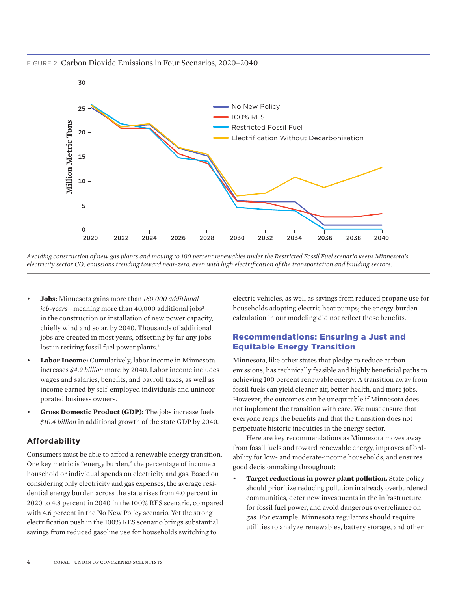FIGURE 2. Carbon Dioxide Emissions in Four Scenarios, 2020–2040



*Avoiding construction of new gas plants and moving to 100 percent renewables under the Restricted Fossil Fuel scenario keeps Minnesota's electricity sector CO2 emissions trending toward near-zero, even with high electrification of the transportation and building sectors.*

- **Jobs:** Minnesota gains more than *160,000 additional job-years*—meaning more than 40,000 additional jobs3 in the construction or installation of new power capacity, chiefly wind and solar, by 2040. Thousands of additional jobs are created in most years, offsetting by far any jobs lost in retiring fossil fuel power plants.<sup>4</sup>
- **Labor Income:** Cumulatively, labor income in Minnesota increases *\$4.9 billion* more by 2040. Labor income includes wages and salaries, benefits, and payroll taxes, as well as income earned by self-employed individuals and unincorporated business owners.
- **Gross Domestic Product (GDP):** The jobs increase fuels *\$10.4 billion* in additional growth of the state GDP by 2040.

#### **Affordability**

Consumers must be able to afford a renewable energy transition. One key metric is "energy burden," the percentage of income a household or individual spends on electricity and gas. Based on considering only electricity and gas expenses, the average residential energy burden across the state rises from 4.0 percent in 2020 to 4.8 percent in 2040 in the 100% RES scenario, compared with 4.6 percent in the No New Policy scenario. Yet the strong electrification push in the 100% RES scenario brings substantial savings from reduced gasoline use for households switching to

electric vehicles, as well as savings from reduced propane use for households adopting electric heat pumps; the energy-burden calculation in our modeling did not reflect those benefits.

### Recommendations: Ensuring a Just and Equitable Energy Transition

Minnesota, like other states that pledge to reduce carbon emissions, has technically feasible and highly beneficial paths to achieving 100 percent renewable energy. A transition away from fossil fuels can yield cleaner air, better health, and more jobs. However, the outcomes can be unequitable if Minnesota does not implement the transition with care. We must ensure that everyone reaps the benefits and that the transition does not perpetuate historic inequities in the energy sector.

Here are key recommendations as Minnesota moves away from fossil fuels and toward renewable energy, improves affordability for low- and moderate-income households, and ensures good decisionmaking throughout:

**Target reductions in power plant pollution.** State policy should prioritize reducing pollution in already overburdened communities, deter new investments in the infrastructure for fossil fuel power, and avoid dangerous overreliance on gas. For example, Minnesota regulators should require utilities to analyze renewables, battery storage, and other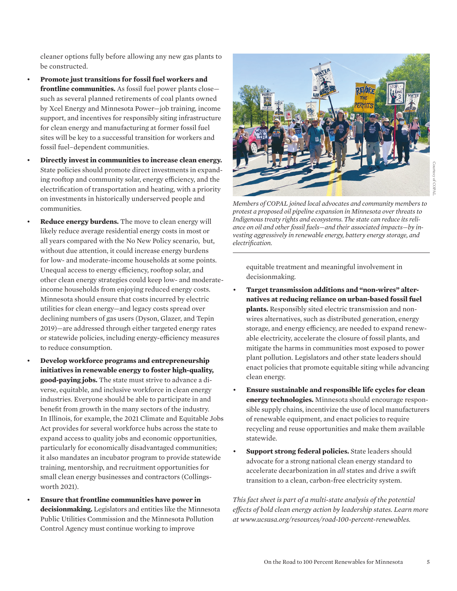cleaner options fully before allowing any new gas plants to be constructed.

- **Promote just transitions for fossil fuel workers and frontline communities.** As fossil fuel power plants close such as several planned retirements of coal plants owned by Xcel Energy and Minnesota Power—job training, income support, and incentives for responsibly siting infrastructure for clean energy and manufacturing at former fossil fuel sites will be key to a successful transition for workers and fossil fuel–dependent communities.
- **Directly invest in communities to increase clean energy.** State policies should promote direct investments in expanding rooftop and community solar, energy efficiency, and the electrification of transportation and heating, with a priority on investments in historically underserved people and communities.
- **Reduce energy burdens.** The move to clean energy will likely reduce average residential energy costs in most or all years compared with the No New Policy scenario, but, without due attention, it could increase energy burdens for low- and moderate-income households at some points. Unequal access to energy efficiency, rooftop solar, and other clean energy strategies could keep low- and moderateincome households from enjoying reduced energy costs. Minnesota should ensure that costs incurred by electric utilities for clean energy—and legacy costs spread over declining numbers of gas users (Dyson, Glazer, and Tepin 2019)—are addressed through either targeted energy rates or statewide policies, including energy-efficiency measures to reduce consumption.
- **Develop workforce programs and entrepreneurship initiatives in renewable energy to foster high-quality, good-paying jobs.** The state must strive to advance a diverse, equitable, and inclusive workforce in clean energy industries. Everyone should be able to participate in and benefit from growth in the many sectors of the industry. In Illinois, for example, the 2021 Climate and Equitable Jobs Act provides for several workforce hubs across the state to expand access to quality jobs and economic opportunities, particularly for economically disadvantaged communities; it also mandates an incubator program to provide statewide training, mentorship, and recruitment opportunities for small clean energy businesses and contractors (Collingsworth 2021).
- **Ensure that frontline communities have power in decisionmaking.** Legislators and entities like the Minnesota Public Utilities Commission and the Minnesota Pollution Control Agency must continue working to improve



*Members of COPAL joined local advocates and community members to protest a proposed oil pipeline expansion in Minnesota over threats to Indigenous treaty rights and ecosystems. The state can reduce its reliance on oil and other fossil fuels—and their associated impacts—by investing aggressively in renewable energy, battery energy storage, and electrification.*

equitable treatment and meaningful involvement in decisionmaking.

- **Target transmission additions and "non-wires" alternatives at reducing reliance on urban-based fossil fuel plants.** Responsibly sited electric transmission and nonwires alternatives, such as distributed generation, energy storage, and energy efficiency, are needed to expand renewable electricity, accelerate the closure of fossil plants, and mitigate the harms in communities most exposed to power plant pollution. Legislators and other state leaders should enact policies that promote equitable siting while advancing clean energy.
- **Ensure sustainable and responsible life cycles for clean energy technologies.** Minnesota should encourage responsible supply chains, incentivize the use of local manufacturers of renewable equipment, and enact policies to require recycling and reuse opportunities and make them available statewide.
- **Support strong federal policies.** State leaders should advocate for a strong national clean energy standard to accelerate decarbonization in *all* states and drive a swift transition to a clean, carbon-free electricity system.

*This fact sheet is part of a multi-state analysis of the potential effects of bold clean energy action by leadership states. Learn more at www.ucsusa.org/resources/road-100-percent-renewables.*